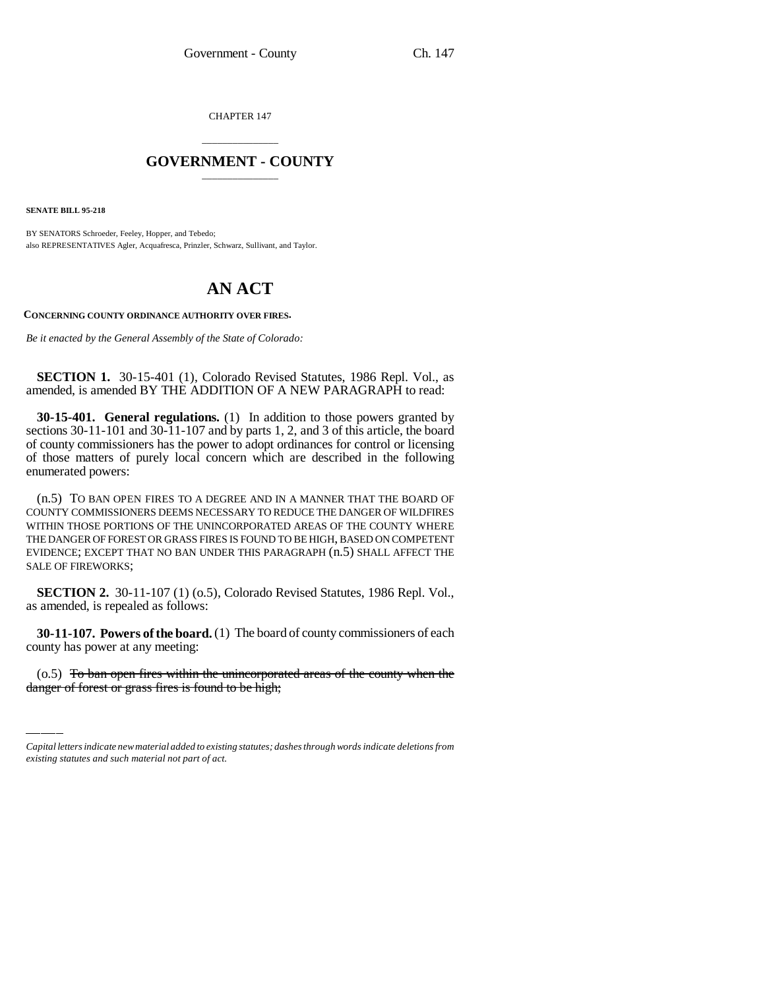CHAPTER 147

## \_\_\_\_\_\_\_\_\_\_\_\_\_\_\_ **GOVERNMENT - COUNTY** \_\_\_\_\_\_\_\_\_\_\_\_\_\_\_

**SENATE BILL 95-218**

BY SENATORS Schroeder, Feeley, Hopper, and Tebedo; also REPRESENTATIVES Agler, Acquafresca, Prinzler, Schwarz, Sullivant, and Taylor.

## **AN ACT**

**CONCERNING COUNTY ORDINANCE AUTHORITY OVER FIRES.**

*Be it enacted by the General Assembly of the State of Colorado:*

**SECTION 1.** 30-15-401 (1), Colorado Revised Statutes, 1986 Repl. Vol., as amended, is amended BY THE ADDITION OF A NEW PARAGRAPH to read:

**30-15-401. General regulations.** (1) In addition to those powers granted by sections 30-11-101 and 30-11-107 and by parts 1, 2, and 3 of this article, the board of county commissioners has the power to adopt ordinances for control or licensing of those matters of purely local concern which are described in the following enumerated powers:

(n.5) TO BAN OPEN FIRES TO A DEGREE AND IN A MANNER THAT THE BOARD OF COUNTY COMMISSIONERS DEEMS NECESSARY TO REDUCE THE DANGER OF WILDFIRES WITHIN THOSE PORTIONS OF THE UNINCORPORATED AREAS OF THE COUNTY WHERE THE DANGER OF FOREST OR GRASS FIRES IS FOUND TO BE HIGH, BASED ON COMPETENT EVIDENCE; EXCEPT THAT NO BAN UNDER THIS PARAGRAPH (n.5) SHALL AFFECT THE SALE OF FIREWORKS;

**SECTION 2.** 30-11-107 (1) (o.5), Colorado Revised Statutes, 1986 Repl. Vol., as amended, is repealed as follows:

**SU-11-107. POWERS OF THE DOAT** county has power at any meeting: **30-11-107. Powers of the board.** (1) The board of county commissioners of each

(o.5) To ban open fires within the unincorporated areas of the county when the danger of forest or grass fires is found to be high;

*Capital letters indicate new material added to existing statutes; dashes through words indicate deletions from existing statutes and such material not part of act.*